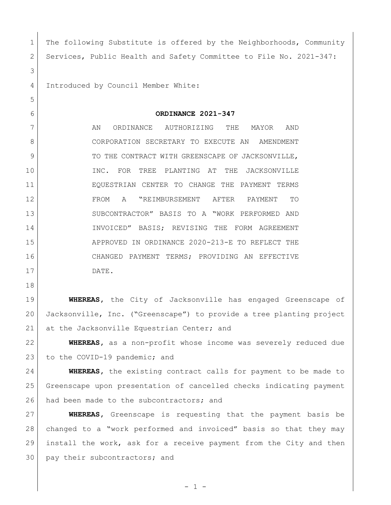| 1              | The following Substitute is offered by the Neighborhoods, Community  |
|----------------|----------------------------------------------------------------------|
| $\overline{2}$ | Services, Public Health and Safety Committee to File No. 2021-347:   |
| 3              |                                                                      |
| 4              | Introduced by Council Member White:                                  |
| 5              |                                                                      |
| 6              | ORDINANCE 2021-347                                                   |
| 7              | AN<br>ORDINANCE<br>AUTHORIZING<br>THE<br>MAYOR<br>AND                |
| 8              | CORPORATION SECRETARY TO EXECUTE AN<br>AMENDMENT                     |
| 9              | TO THE CONTRACT WITH GREENSCAPE OF JACKSONVILLE,                     |
| 10             | INC.<br>FOR TREE PLANTING AT<br>THE<br>JACKSONVILLE                  |
| 11             | EQUESTRIAN CENTER TO CHANGE THE PAYMENT TERMS                        |
| 12             | "REIMBURSEMENT AFTER<br>FROM<br>A<br>PAYMENT<br>TO                   |
| 13             | SUBCONTRACTOR" BASIS TO A "WORK PERFORMED AND                        |
| 14             | INVOICED" BASIS; REVISING THE FORM AGREEMENT                         |
| 15             | APPROVED IN ORDINANCE 2020-213-E TO REFLECT THE                      |
| 16             | CHANGED PAYMENT TERMS; PROVIDING AN EFFECTIVE                        |
| 17             | DATE.                                                                |
| 18             |                                                                      |
| 19             | <b>WHEREAS</b> , the City of Jacksonville has engaged Greenscape of  |
| 20             | Jacksonville, Inc. ("Greenscape") to provide a tree planting project |
| 21             | at the Jacksonville Equestrian Center; and                           |
|                |                                                                      |

 **WHEREAS,** as a non-profit whose income was severely reduced due 23 to the COVID-19 pandemic; and

 **WHEREAS,** the existing contract calls for payment to be made to Greenscape upon presentation of cancelled checks indicating payment 26 had been made to the subcontractors; and

 **WHEREAS,** Greenscape is requesting that the payment basis be changed to a "work performed and invoiced" basis so that they may install the work, ask for a receive payment from the City and then 30 pay their subcontractors; and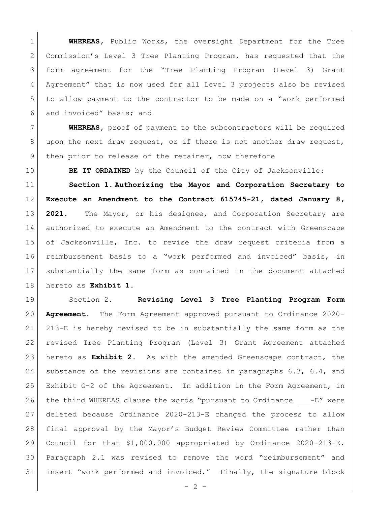**WHEREAS,** Public Works, the oversight Department for the Tree Commission's Level 3 Tree Planting Program, has requested that the form agreement for the "Tree Planting Program (Level 3) Grant 4 Agreement" that is now used for all Level 3 projects also be revised to allow payment to the contractor to be made on a "work performed 6 and invoiced" basis; and

 **WHEREAS,** proof of payment to the subcontractors will be required 8 upon the next draw request, or if there is not another draw request, 9 then prior to release of the retainer, now therefore

**BE IT ORDAINED** by the Council of the City of Jacksonville:

 **Section 1. Authorizing the Mayor and Corporation Secretary to Execute an Amendment to the Contract 615745-21, dated January 8, 2021.** The Mayor, or his designee, and Corporation Secretary are authorized to execute an Amendment to the contract with Greenscape of Jacksonville, Inc. to revise the draw request criteria from a reimbursement basis to a "work performed and invoiced" basis, in substantially the same form as contained in the document attached hereto as **Exhibit 1**.

 Section 2. **Revising Level 3 Tree Planting Program Form Agreement.** The Form Agreement approved pursuant to Ordinance 2020- 213-E is hereby revised to be in substantially the same form as the revised Tree Planting Program (Level 3) Grant Agreement attached hereto as **Exhibit 2**. As with the amended Greenscape contract, the 24 | substance of the revisions are contained in paragraphs 6.3, 6.4, and Exhibit G-2 of the Agreement. In addition in the Form Agreement, in 26 the third WHEREAS clause the words "pursuant to Ordinance  $-E''$  were deleted because Ordinance 2020-213-E changed the process to allow 28 | final approval by the Mayor's Budget Review Committee rather than Council for that \$1,000,000 appropriated by Ordinance 2020-213-E. Paragraph 2.1 was revised to remove the word "reimbursement" and insert "work performed and invoiced." Finally, the signature block

 $- 2 -$